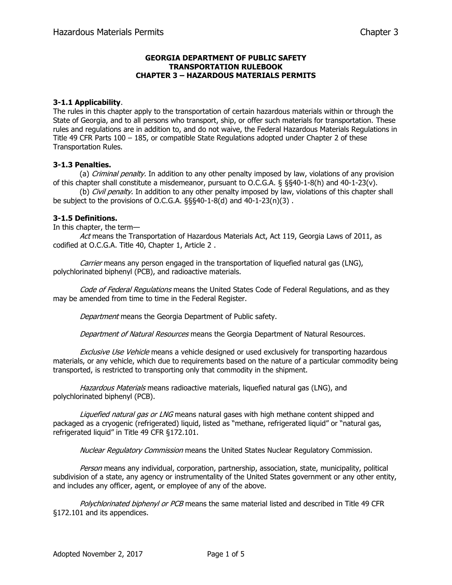## **GEORGIA DEPARTMENT OF PUBLIC SAFETY TRANSPORTATION RULEBOOK CHAPTER 3 – HAZARDOUS MATERIALS PERMITS**

## **3-1.1 Applicability**.

The rules in this chapter apply to the transportation of certain hazardous materials within or through the State of Georgia, and to all persons who transport, ship, or offer such materials for transportation. These rules and regulations are in addition to, and do not waive, the Federal Hazardous Materials Regulations in Title 49 CFR Parts 100 – 185, or compatible State Regulations adopted under Chapter 2 of these Transportation Rules.

# **3-1.3 Penalties.**

(a) Criminal penalty. In addition to any other penalty imposed by law, violations of any provision of this chapter shall constitute a misdemeanor, pursuant to O.C.G.A. § §§40-1-8(h) and 40-1-23(v).

(b) *Civil penalty*. In addition to any other penalty imposed by law, violations of this chapter shall be subject to the provisions of O.C.G.A. §§§40-1-8(d) and 40-1-23(n)(3) .

#### **3-1.5 Definitions.**

In this chapter, the term—

Act means the Transportation of Hazardous Materials Act, Act 119, Georgia Laws of 2011, as codified at O.C.G.A. Title 40, Chapter 1, Article 2 .

Carrier means any person engaged in the transportation of liquefied natural gas (LNG), polychlorinated biphenyl (PCB), and radioactive materials.

Code of Federal Regulations means the United States Code of Federal Regulations, and as they may be amended from time to time in the Federal Register.

Department means the Georgia Department of Public safety.

Department of Natural Resources means the Georgia Department of Natural Resources.

**Exclusive Use Vehicle means a vehicle designed or used exclusively for transporting hazardous** materials, or any vehicle, which due to requirements based on the nature of a particular commodity being transported, is restricted to transporting only that commodity in the shipment.

Hazardous Materials means radioactive materials, liquefied natural gas (LNG), and polychlorinated biphenyl (PCB).

Liquefied natural gas or LNG means natural gases with high methane content shipped and packaged as a cryogenic (refrigerated) liquid, listed as "methane, refrigerated liquid" or "natural gas, refrigerated liquid" in Title 49 CFR §172.101.

Nuclear Regulatory Commission means the United States Nuclear Regulatory Commission.

Person means any individual, corporation, partnership, association, state, municipality, political subdivision of a state, any agency or instrumentality of the United States government or any other entity, and includes any officer, agent, or employee of any of the above.

Polychlorinated biphenyl or PCB means the same material listed and described in Title 49 CFR §172.101 and its appendices.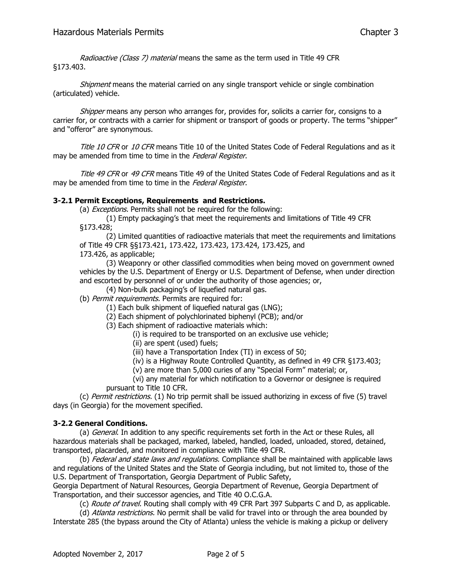Radioactive (Class 7) material means the same as the term used in Title 49 CFR §173.403.

Shipment means the material carried on any single transport vehicle or single combination (articulated) vehicle.

Shipper means any person who arranges for, provides for, solicits a carrier for, consigns to a carrier for, or contracts with a carrier for shipment or transport of goods or property. The terms "shipper" and "offeror" are synonymous.

Title 10 CFR or 10 CFR means Title 10 of the United States Code of Federal Regulations and as it may be amended from time to time in the Federal Register.

Title 49 CFR or 49 CFR means Title 49 of the United States Code of Federal Regulations and as it may be amended from time to time in the Federal Register.

## **3-2.1 Permit Exceptions, Requirements and Restrictions.**

(a) *Exceptions.* Permits shall not be required for the following:

(1) Empty packaging's that meet the requirements and limitations of Title 49 CFR §173.428;

(2) Limited quantities of radioactive materials that meet the requirements and limitations of Title 49 CFR §§173.421, 173.422, 173.423, 173.424, 173.425, and 173.426, as applicable;

(3) Weaponry or other classified commodities when being moved on government owned vehicles by the U.S. Department of Energy or U.S. Department of Defense, when under direction and escorted by personnel of or under the authority of those agencies; or,

(4) Non-bulk packaging's of liquefied natural gas.

(b) Permit requirements. Permits are required for:

(1) Each bulk shipment of liquefied natural gas (LNG);

(2) Each shipment of polychlorinated biphenyl (PCB); and/or

(3) Each shipment of radioactive materials which:

(i) is required to be transported on an exclusive use vehicle;

(ii) are spent (used) fuels;

(iii) have a Transportation Index (TI) in excess of 50;

(iv) is a Highway Route Controlled Quantity, as defined in 49 CFR §173.403;

(v) are more than 5,000 curies of any "Special Form" material; or,

(vi) any material for which notification to a Governor or designee is required pursuant to Title 10 CFR.

(c) Permit restrictions. (1) No trip permit shall be issued authorizing in excess of five (5) travel days (in Georgia) for the movement specified.

## **3-2.2 General Conditions.**

(a) *General*. In addition to any specific requirements set forth in the Act or these Rules, all hazardous materials shall be packaged, marked, labeled, handled, loaded, unloaded, stored, detained, transported, placarded, and monitored in compliance with Title 49 CFR.

(b) Federal and state laws and regulations. Compliance shall be maintained with applicable laws and regulations of the United States and the State of Georgia including, but not limited to, those of the U.S. Department of Transportation, Georgia Department of Public Safety,

Georgia Department of Natural Resources, Georgia Department of Revenue, Georgia Department of Transportation, and their successor agencies, and Title 40 O.C.G.A.

(c) Route of travel. Routing shall comply with 49 CFR Part 397 Subparts C and D, as applicable.

(d) Atlanta restrictions. No permit shall be valid for travel into or through the area bounded by Interstate 285 (the bypass around the City of Atlanta) unless the vehicle is making a pickup or delivery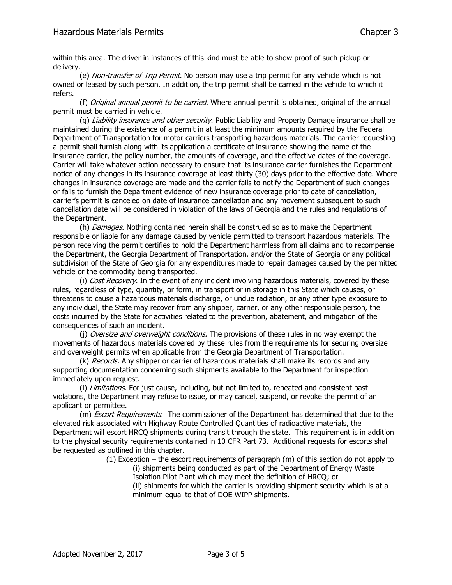within this area. The driver in instances of this kind must be able to show proof of such pickup or delivery.

(e) Non-transfer of Trip Permit. No person may use a trip permit for any vehicle which is not owned or leased by such person. In addition, the trip permit shall be carried in the vehicle to which it refers.

(f) Original annual permit to be carried. Where annual permit is obtained, original of the annual permit must be carried in vehicle.

(q) Liability insurance and other security. Public Liability and Property Damage insurance shall be maintained during the existence of a permit in at least the minimum amounts required by the Federal Department of Transportation for motor carriers transporting hazardous materials. The carrier requesting a permit shall furnish along with its application a certificate of insurance showing the name of the insurance carrier, the policy number, the amounts of coverage, and the effective dates of the coverage. Carrier will take whatever action necessary to ensure that its insurance carrier furnishes the Department notice of any changes in its insurance coverage at least thirty (30) days prior to the effective date. Where changes in insurance coverage are made and the carrier fails to notify the Department of such changes or fails to furnish the Department evidence of new insurance coverage prior to date of cancellation, carrier's permit is canceled on date of insurance cancellation and any movement subsequent to such cancellation date will be considered in violation of the laws of Georgia and the rules and regulations of the Department.

(h) *Damages*. Nothing contained herein shall be construed so as to make the Department responsible or liable for any damage caused by vehicle permitted to transport hazardous materials. The person receiving the permit certifies to hold the Department harmless from all claims and to recompense the Department, the Georgia Department of Transportation, and/or the State of Georgia or any political subdivision of the State of Georgia for any expenditures made to repair damages caused by the permitted vehicle or the commodity being transported.

(i) Cost Recovery. In the event of any incident involving hazardous materials, covered by these rules, regardless of type, quantity, or form, in transport or in storage in this State which causes, or threatens to cause a hazardous materials discharge, or undue radiation, or any other type exposure to any individual, the State may recover from any shipper, carrier, or any other responsible person, the costs incurred by the State for activities related to the prevention, abatement, and mitigation of the consequences of such an incident.

(i) Oversize and overweight conditions. The provisions of these rules in no way exempt the movements of hazardous materials covered by these rules from the requirements for securing oversize and overweight permits when applicable from the Georgia Department of Transportation.

(k) Records. Any shipper or carrier of hazardous materials shall make its records and any supporting documentation concerning such shipments available to the Department for inspection immediately upon request.

(I) Limitations. For just cause, including, but not limited to, repeated and consistent past violations, the Department may refuse to issue, or may cancel, suspend, or revoke the permit of an applicant or permittee.

(m) *Escort Requirements*. The commissioner of the Department has determined that due to the elevated risk associated with Highway Route Controlled Quantities of radioactive materials, the Department will escort HRCQ shipments during transit through the state. This requirement is in addition to the physical security requirements contained in 10 CFR Part 73. Additional requests for escorts shall be requested as outlined in this chapter.

(1) Exception – the escort requirements of paragraph (m) of this section do not apply to

(i) shipments being conducted as part of the Department of Energy Waste Isolation Pilot Plant which may meet the definition of HRCQ; or (ii) shipments for which the carrier is providing shipment security which is at a minimum equal to that of DOE WIPP shipments.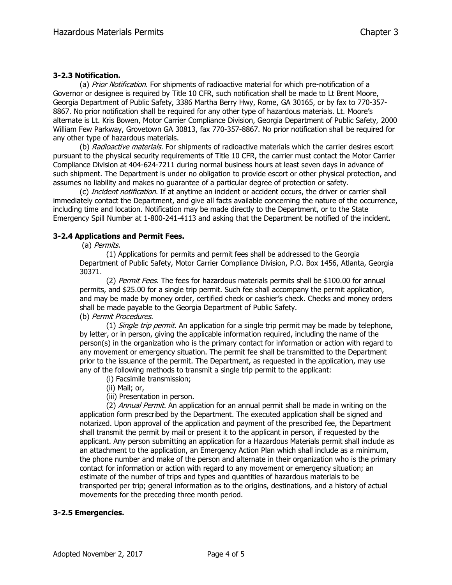#### **3-2.3 Notification.**

(a) Prior Notification. For shipments of radioactive material for which pre-notification of a Governor or designee is required by Title 10 CFR, such notification shall be made to Lt Brent Moore, Georgia Department of Public Safety, 3386 Martha Berry Hwy, Rome, GA 30165, or by fax to 770-357- 8867. No prior notification shall be required for any other type of hazardous materials. Lt. Moore's alternate is Lt. Kris Bowen, Motor Carrier Compliance Division, Georgia Department of Public Safety, 2000 William Few Parkway, Grovetown GA 30813, fax 770-357-8867. No prior notification shall be required for any other type of hazardous materials.

(b) Radioactive materials. For shipments of radioactive materials which the carrier desires escort pursuant to the physical security requirements of Title 10 CFR, the carrier must contact the Motor Carrier Compliance Division at 404-624-7211 during normal business hours at least seven days in advance of such shipment. The Department is under no obligation to provide escort or other physical protection, and assumes no liability and makes no guarantee of a particular degree of protection or safety.

(c) *Incident notification*. If at anytime an incident or accident occurs, the driver or carrier shall immediately contact the Department, and give all facts available concerning the nature of the occurrence, including time and location. Notification may be made directly to the Department, or to the State Emergency Spill Number at 1-800-241-4113 and asking that the Department be notified of the incident.

## **3-2.4 Applications and Permit Fees.**

(a) Permits.

(1) Applications for permits and permit fees shall be addressed to the Georgia Department of Public Safety, Motor Carrier Compliance Division, P.O. Box 1456, Atlanta, Georgia 30371.

(2) Permit Fees. The fees for hazardous materials permits shall be \$100.00 for annual permits, and \$25.00 for a single trip permit. Such fee shall accompany the permit application, and may be made by money order, certified check or cashier's check. Checks and money orders shall be made payable to the Georgia Department of Public Safety. (b) Permit Procedures.

(1) *Single trip permit*. An application for a single trip permit may be made by telephone, by letter, or in person, giving the applicable information required, including the name of the person(s) in the organization who is the primary contact for information or action with regard to any movement or emergency situation. The permit fee shall be transmitted to the Department prior to the issuance of the permit. The Department, as requested in the application, may use any of the following methods to transmit a single trip permit to the applicant:

- (i) Facsimile transmission;
- (ii) Mail; or,
- (iii) Presentation in person.

(2) Annual Permit. An application for an annual permit shall be made in writing on the application form prescribed by the Department. The executed application shall be signed and notarized. Upon approval of the application and payment of the prescribed fee, the Department shall transmit the permit by mail or present it to the applicant in person, if requested by the applicant. Any person submitting an application for a Hazardous Materials permit shall include as an attachment to the application, an Emergency Action Plan which shall include as a minimum, the phone number and make of the person and alternate in their organization who is the primary contact for information or action with regard to any movement or emergency situation; an estimate of the number of trips and types and quantities of hazardous materials to be transported per trip; general information as to the origins, destinations, and a history of actual movements for the preceding three month period.

## **3-2.5 Emergencies.**